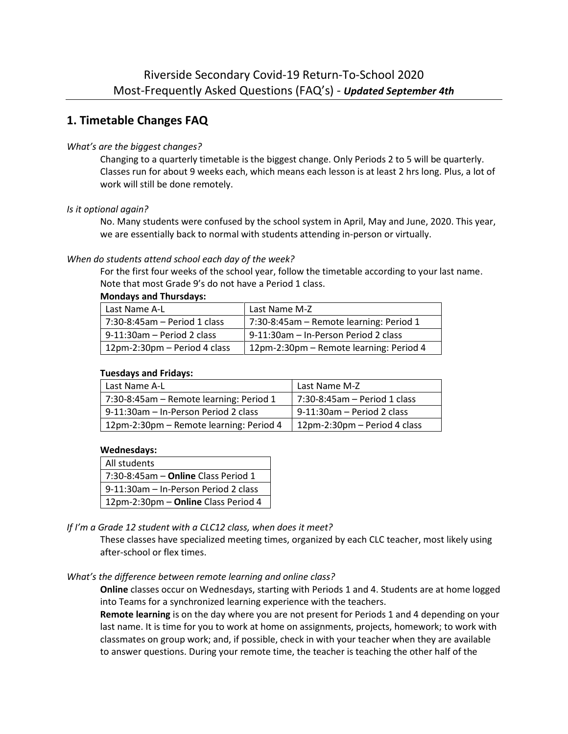## **1. Timetable Changes FAQ**

## *What's are the biggest changes?*

Changing to a quarterly timetable is the biggest change. Only Periods 2 to 5 will be quarterly. Classes run for about 9 weeks each, which means each lesson is at least 2 hrs long. Plus, a lot of work will still be done remotely.

### *Is it optional again?*

No. Many students were confused by the school system in April, May and June, 2020. This year, we are essentially back to normal with students attending in-person or virtually.

### *When do students attend school each day of the week?*

For the first four weeks of the school year, follow the timetable according to your last name. Note that most Grade 9's do not have a Period 1 class.

### **Mondays and Thursdays:**

| Last Name A-L                 | Last Name M-Z                           |  |
|-------------------------------|-----------------------------------------|--|
| 7:30-8:45am - Period 1 class  | 7:30-8:45am - Remote learning: Period 1 |  |
| $9-11:30$ am – Period 2 class | 9-11:30am - In-Person Period 2 class    |  |
| 12pm-2:30pm - Period 4 class  | 12pm-2:30pm - Remote learning: Period 4 |  |

### **Tuesdays and Fridays:**

| Last Name A-L                           | Last Name M-Z                |
|-----------------------------------------|------------------------------|
| 7:30-8:45am - Remote learning: Period 1 | 7:30-8:45am – Period 1 class |
| 9-11:30am - In-Person Period 2 class    | 9-11:30am - Period 2 class   |
| 12pm-2:30pm - Remote learning: Period 4 | 12pm-2:30pm - Period 4 class |

### **Wednesdays:**

| All students                                  |  |
|-----------------------------------------------|--|
| $7:30-8:45$ am – <b>Online</b> Class Period 1 |  |
| 9-11:30am – In-Person Period 2 class          |  |
| 12pm-2:30pm - Online Class Period 4           |  |

*If I'm a Grade 12 student with a CLC12 class, when does it meet?*

These classes have specialized meeting times, organized by each CLC teacher, most likely using after-school or flex times.

## *What's the difference between remote learning and online class?*

**Online** classes occur on Wednesdays, starting with Periods 1 and 4. Students are at home logged into Teams for a synchronized learning experience with the teachers.

**Remote learning** is on the day where you are not present for Periods 1 and 4 depending on your last name. It is time for you to work at home on assignments, projects, homework; to work with classmates on group work; and, if possible, check in with your teacher when they are available to answer questions. During your remote time, the teacher is teaching the other half of the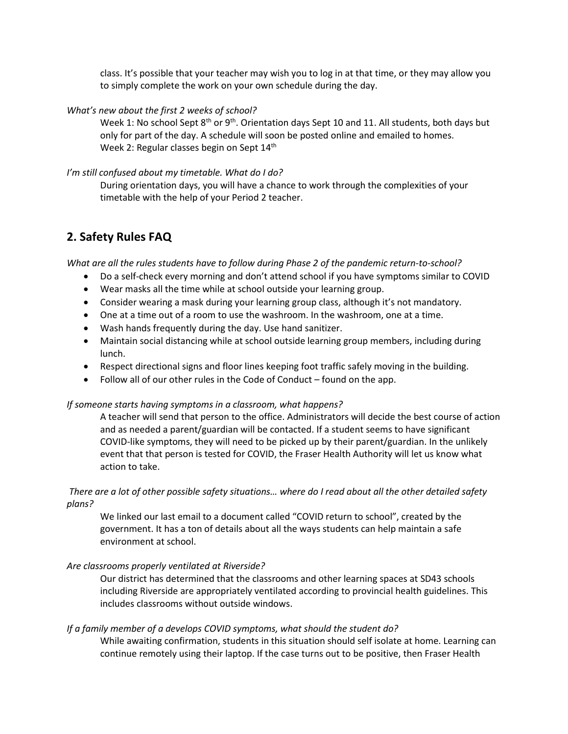class. It's possible that your teacher may wish you to log in at that time, or they may allow you to simply complete the work on your own schedule during the day.

## *What's new about the first 2 weeks of school?*

Week 1: No school Sept  $8^{th}$  or  $9^{th}$ . Orientation days Sept 10 and 11. All students, both days but only for part of the day. A schedule will soon be posted online and emailed to homes. Week 2: Regular classes begin on Sept 14<sup>th</sup>

## *I'm still confused about my timetable. What do I do?*

During orientation days, you will have a chance to work through the complexities of your timetable with the help of your Period 2 teacher.

# **2. Safety Rules FAQ**

*What are all the rules students have to follow during Phase 2 of the pandemic return-to-school?*

- Do a self-check every morning and don't attend school if you have symptoms similar to COVID
- Wear masks all the time while at school outside your learning group.
- Consider wearing a mask during your learning group class, although it's not mandatory.
- One at a time out of a room to use the washroom. In the washroom, one at a time.
- Wash hands frequently during the day. Use hand sanitizer.
- Maintain social distancing while at school outside learning group members, including during lunch.
- Respect directional signs and floor lines keeping foot traffic safely moving in the building.
- Follow all of our other rules in the Code of Conduct found on the app.

## *If someone starts having symptoms in a classroom, what happens?*

A teacher will send that person to the office. Administrators will decide the best course of action and as needed a parent/guardian will be contacted. If a student seems to have significant COVID-like symptoms, they will need to be picked up by their parent/guardian. In the unlikely event that that person is tested for COVID, the Fraser Health Authority will let us know what action to take.

## *There are a lot of other possible safety situations… where do I read about all the other detailed safety plans?*

We linked our last email to a document called "COVID return to school", created by the government. It has a ton of details about all the ways students can help maintain a safe environment at school.

## *Are classrooms properly ventilated at Riverside?*

Our district has determined that the classrooms and other learning spaces at SD43 schools including Riverside are appropriately ventilated according to provincial health guidelines. This includes classrooms without outside windows.

## *If a family member of a develops COVID symptoms, what should the student do?*

While awaiting confirmation, students in this situation should self isolate at home. Learning can continue remotely using their laptop. If the case turns out to be positive, then Fraser Health